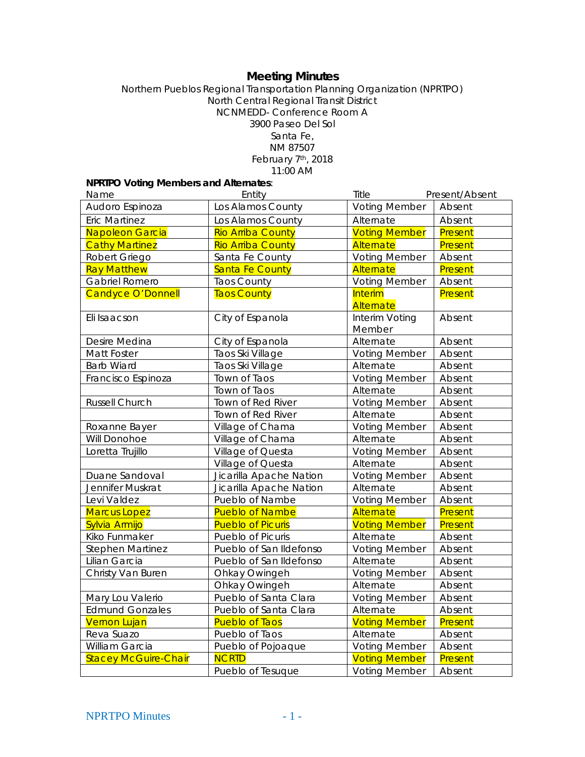# **Meeting Minutes**

Northern Pueblos Regional Transportation Planning Organization (NPRTPO) North Central Regional Transit District NCNMEDD- Conference Room A 3900 Paseo Del Sol Santa Fe, NM 87507 February 7th, 2018

11:00 AM

| <b>NPRTPO Voting Members and Alternates:</b> |                          |                             |                |
|----------------------------------------------|--------------------------|-----------------------------|----------------|
| Name                                         | Entity                   | Title                       | Present/Absent |
| Audoro Espinoza                              | Los Alamos County        | <b>Voting Member</b>        | Absent         |
| <b>Eric Martinez</b>                         | Los Alamos County        | Alternate                   | Absent         |
| Napoleon Garcia                              | <b>Rio Arriba County</b> | <b>Voting Member</b>        | Present        |
| <b>Cathy Martinez</b>                        | <b>Rio Arriba County</b> | Alternate                   | Present        |
| Robert Griego                                | Santa Fe County          | <b>Voting Member</b>        | Absent         |
| <b>Ray Matthew</b>                           | <b>Santa Fe County</b>   | <b>Alternate</b>            | Present        |
| Gabriel Romero                               | <b>Taos County</b>       | <b>Voting Member</b>        | Absent         |
| <b>Candyce O'Donnell</b>                     | <b>Taos County</b>       | <b>Interim</b><br>Alternate | Present        |
| Eli Isaacson                                 | City of Espanola         | Interim Voting<br>Member    | Absent         |
| Desire Medina                                | City of Espanola         | Alternate                   | Absent         |
| Matt Foster                                  | Taos Ski Village         | <b>Voting Member</b>        | Absent         |
| <b>Barb Wiard</b>                            | Taos Ski Village         | Alternate                   | Absent         |
| Francisco Espinoza                           | Town of Taos             | <b>Voting Member</b>        | Absent         |
|                                              | Town of Taos             | Alternate                   | Absent         |
| Russell Church                               | Town of Red River        | <b>Voting Member</b>        | Absent         |
|                                              | Town of Red River        | Alternate                   | Absent         |
| Roxanne Bayer                                | Village of Chama         | <b>Voting Member</b>        | Absent         |
| Will Donohoe                                 | Village of Chama         | Alternate                   | Absent         |
| Loretta Trujillo                             | Village of Questa        | <b>Voting Member</b>        | Absent         |
|                                              | Village of Questa        | Alternate                   | Absent         |
| Duane Sandoval                               | Jicarilla Apache Nation  | <b>Voting Member</b>        | Absent         |
| Jennifer Muskrat                             | Jicarilla Apache Nation  | Alternate                   | Absent         |
| Levi Valdez                                  | Pueblo of Nambe          | <b>Voting Member</b>        | Absent         |
| <b>Marcus Lopez</b>                          | <b>Pueblo of Nambe</b>   | Alternate                   | Present        |
| Sylvia Armijo                                | <b>Pueblo of Picuris</b> | <b>Voting Member</b>        | Present        |
| Kiko Funmaker                                | Pueblo of Picuris        | Alternate                   | Absent         |
| <b>Stephen Martinez</b>                      | Pueblo of San Ildefonso  | <b>Voting Member</b>        | Absent         |
| Lilian Garcia                                | Pueblo of San Ildefonso  | Alternate                   | Absent         |
| Christy Van Buren                            | Ohkay Owingeh            | <b>Voting Member</b>        | Absent         |
|                                              | Ohkay Owingeh            | Alternate                   | Absent         |
| Mary Lou Valerio                             | Pueblo of Santa Clara    | <b>Voting Member</b>        | Absent         |
| <b>Edmund Gonzales</b>                       | Pueblo of Santa Clara    | Alternate                   | Absent         |
| <b>Vernon Lujan</b>                          | <b>Pueblo of Taos</b>    | <b>Voting Member</b>        | Present        |
| Reva Suazo                                   | Pueblo of Taos           | Alternate                   | Absent         |
| William Garcia                               | Pueblo of Pojoaque       | <b>Voting Member</b>        | Absent         |
| <b>Stacey McGuire-Chair</b>                  | <b>NCRTD</b>             | <b>Voting Member</b>        | Present        |
|                                              | Pueblo of Tesuque        | <b>Voting Member</b>        | Absent         |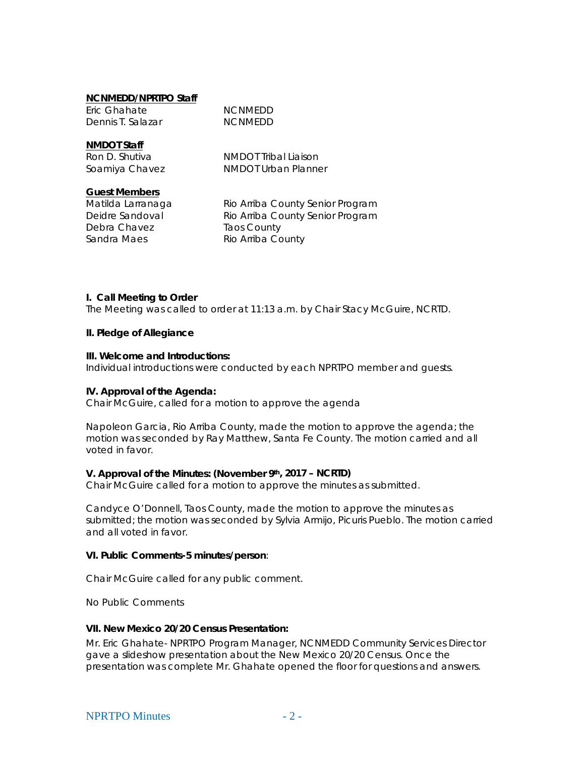#### **NCNMEDD/NPRTPO Staff**

| Eric Ghahate      | <b>NCNMEDD</b> |  |
|-------------------|----------------|--|
| Dennis T. Salazar | <b>NCNMEDD</b> |  |

**NMDOT Staff**

Ron D. Shutiva NMDOT Tribal Liaison Soamiya Chavez **NMDOT** Urban Planner

### **Guest Members**

Debra Chavez **Taos County** Sandra Maes Rio Arriba County

Matilda Larranaga Rio Arriba County Senior Program Deidre Sandoval Rio Arriba County Senior Program

### **I. Call Meeting to Order**

The Meeting was called to order at 11:13 a.m. by Chair Stacy McGuire, NCRTD.

### **II. Pledge of Allegiance**

#### **III. Welcome and Introductions:**

Individual introductions were conducted by each NPRTPO member and guests.

### **IV. Approval of the Agenda:**

Chair McGuire, called for a motion to approve the agenda

Napoleon Garcia, Rio Arriba County, made the motion to approve the agenda; the motion was seconded by Ray Matthew, Santa Fe County. The motion carried and all voted in favor.

### **V. Approval of the Minutes: (November 9th, 2017 – NCRTD)**

Chair McGuire called for a motion to approve the minutes as submitted.

Candyce O'Donnell, Taos County, made the motion to approve the minutes as submitted; the motion was seconded by Sylvia Armijo, Picuris Pueblo. The motion carried and all voted in favor.

#### **VI. Public Comments-5 minutes/person**:

Chair McGuire called for any public comment.

No Public Comments

#### **VII. New Mexico 20/20 Census Presentation:**

Mr. Eric Ghahate- NPRTPO Program Manager, NCNMEDD Community Services Director gave a slideshow presentation about the New Mexico 20/20 Census. Once the presentation was complete Mr. Ghahate opened the floor for questions and answers.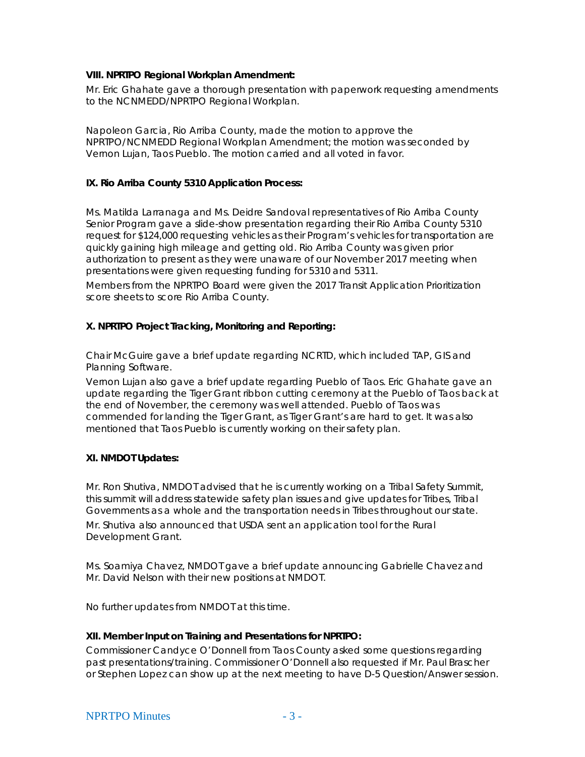### **VIII. NPRTPO Regional Workplan Amendment:**

Mr. Eric Ghahate gave a thorough presentation with paperwork requesting amendments to the NCNMEDD/NPRTPO Regional Workplan.

Napoleon Garcia, Rio Arriba County, made the motion to approve the NPRTPO/NCNMEDD Regional Workplan Amendment; the motion was seconded by Vernon Lujan, Taos Pueblo. The motion carried and all voted in favor.

### **IX. Rio Arriba County 5310 Application Process:**

Ms. Matilda Larranaga and Ms. Deidre Sandoval representatives of Rio Arriba County Senior Program gave a slide-show presentation regarding their Rio Arriba County 5310 request for \$124,000 requesting vehicles as their Program's vehicles for transportation are quickly gaining high mileage and getting old. Rio Arriba County was given prior authorization to present as they were unaware of our November 2017 meeting when presentations were given requesting funding for 5310 and 5311.

Members from the NPRTPO Board were given the 2017 Transit Application Prioritization score sheets to score Rio Arriba County.

### **X. NPRTPO Project Tracking, Monitoring and Reporting:**

Chair McGuire gave a brief update regarding NCRTD, which included TAP, GIS and Planning Software.

Vernon Lujan also gave a brief update regarding Pueblo of Taos. Eric Ghahate gave an update regarding the Tiger Grant ribbon cutting ceremony at the Pueblo of Taos back at the end of November, the ceremony was well attended. Pueblo of Taos was commended for landing the Tiger Grant, as Tiger Grant's are hard to get. It was also mentioned that Taos Pueblo is currently working on their safety plan.

## **XI. NMDOT Updates:**

Mr. Ron Shutiva, NMDOT advised that he is currently working on a Tribal Safety Summit, this summit will address statewide safety plan issues and give updates for Tribes, Tribal Governments as a whole and the transportation needs in Tribes throughout our state. Mr. Shutiva also announced that USDA sent an application tool for the Rural Development Grant.

Ms. Soamiya Chavez, NMDOT gave a brief update announcing Gabrielle Chavez and Mr. David Nelson with their new positions at NMDOT.

No further updates from NMDOT at this time.

#### **XII. Member Input on Training and Presentations for NPRTPO:**

Commissioner Candyce O'Donnell from Taos County asked some questions regarding past presentations/training. Commissioner O'Donnell also requested if Mr. Paul Brascher or Stephen Lopez can show up at the next meeting to have D-5 Question/Answer session.